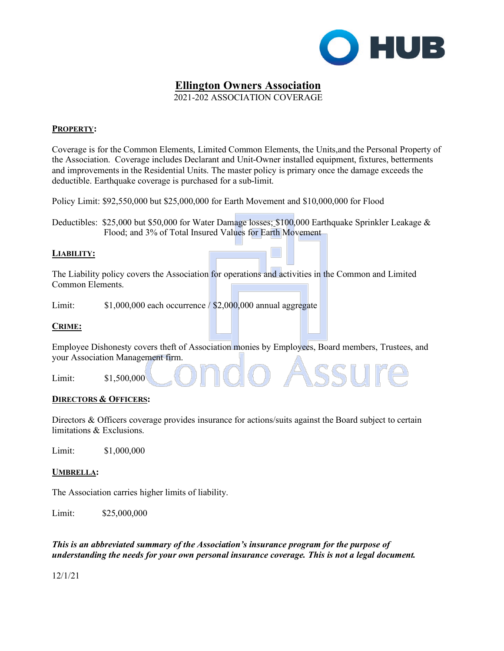

# **Ellington Owners Association**

2021-202 ASSOCIATION COVERAGE

## **PROPERTY:**

Coverage is for the Common Elements, Limited Common Elements, the Units,and the Personal Property of the Association. Coverage includes Declarant and Unit-Owner installed equipment, fixtures, betterments and improvements in the Residential Units. The master policy is primary once the damage exceeds the deductible. Earthquake coverage is purchased for a sub-limit.

Policy Limit: \$92,550,000 but \$25,000,000 for Earth Movement and \$10,000,000 for Flood

Deductibles: \$25,000 but \$50,000 for Water Damage losses; \$100,000 Earthquake Sprinkler Leakage & Flood; and 3% of Total Insured Values for Earth Movement

## **LIABILITY:**

The Liability policy covers the Association for operations and activities in the Common and Limited Common Elements.

Limit:  $$1,000,000$  each occurrence  $/$  \$2,000,000 annual aggregate

## **CRIME:**

Employee Dishonesty covers theft of Association monies by Employees, Board members, Trustees, and your Association Management firm.

Limit: \$1,500,000

## **DIRECTORS & OFFICERS:**

Directors & Officers coverage provides insurance for actions/suits against the Board subject to certain limitations & Exclusions.

Limit: \$1,000,000

## **UMBRELLA:**

The Association carries higher limits of liability.

Limit: \$25,000,000

*This is an abbreviated summary of the Association's insurance program for the purpose of understanding the needs for your own personal insurance coverage. This is not a legal document.* 

12/1/21